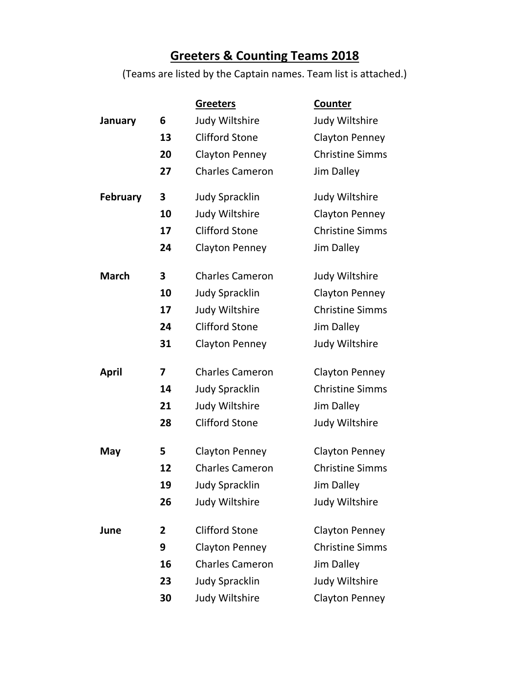## **Greeters & Counting Teams 2018**

(Teams are listed by the Captain names. Team list is attached.)

|                 |    | <b>Greeters</b>        | <b>Counter</b>         |
|-----------------|----|------------------------|------------------------|
| January         | 6  | Judy Wiltshire         | Judy Wiltshire         |
|                 | 13 | <b>Clifford Stone</b>  | <b>Clayton Penney</b>  |
|                 | 20 | <b>Clayton Penney</b>  | <b>Christine Simms</b> |
|                 | 27 | <b>Charles Cameron</b> | <b>Jim Dalley</b>      |
| <b>February</b> | 3  | <b>Judy Spracklin</b>  | Judy Wiltshire         |
|                 | 10 | Judy Wiltshire         | <b>Clayton Penney</b>  |
|                 | 17 | <b>Clifford Stone</b>  | <b>Christine Simms</b> |
|                 | 24 | <b>Clayton Penney</b>  | Jim Dalley             |
| <b>March</b>    | 3  | <b>Charles Cameron</b> | Judy Wiltshire         |
|                 | 10 | <b>Judy Spracklin</b>  | <b>Clayton Penney</b>  |
|                 | 17 | Judy Wiltshire         | <b>Christine Simms</b> |
|                 | 24 | <b>Clifford Stone</b>  | <b>Jim Dalley</b>      |
|                 | 31 | <b>Clayton Penney</b>  | Judy Wiltshire         |
| April           | 7  | <b>Charles Cameron</b> | Clayton Penney         |
|                 | 14 | <b>Judy Spracklin</b>  | <b>Christine Simms</b> |
|                 | 21 | Judy Wiltshire         | <b>Jim Dalley</b>      |
|                 | 28 | <b>Clifford Stone</b>  | Judy Wiltshire         |
| May             | 5  | <b>Clayton Penney</b>  | <b>Clayton Penney</b>  |
|                 | 12 | <b>Charles Cameron</b> | <b>Christine Simms</b> |
|                 | 19 | <b>Judy Spracklin</b>  | Jim Dalley             |
|                 | 26 | Judy Wiltshire         | Judy Wiltshire         |
| June            | 2  | <b>Clifford Stone</b>  | <b>Clayton Penney</b>  |
|                 | 9  | <b>Clayton Penney</b>  | <b>Christine Simms</b> |
|                 | 16 | <b>Charles Cameron</b> | Jim Dalley             |
|                 | 23 | <b>Judy Spracklin</b>  | Judy Wiltshire         |
|                 | 30 | Judy Wiltshire         | <b>Clayton Penney</b>  |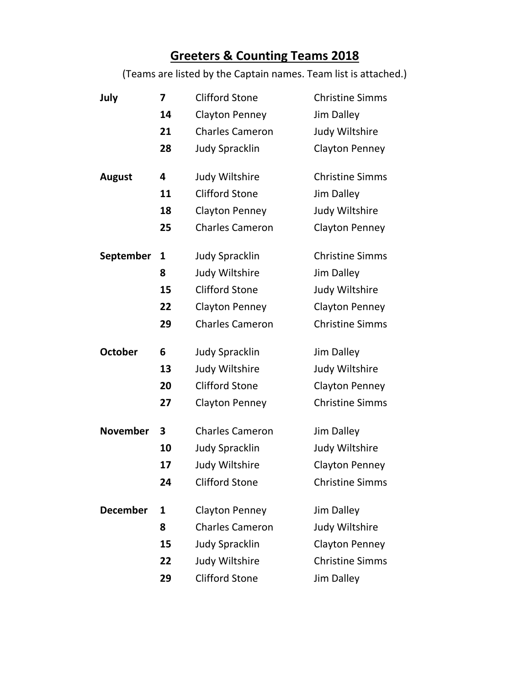## **Greeters & Counting Teams 2018**

(Teams are listed by the Captain names. Team list is attached.)

| July            | 7  | <b>Clifford Stone</b>  | <b>Christine Simms</b> |
|-----------------|----|------------------------|------------------------|
|                 | 14 | <b>Clayton Penney</b>  | <b>Jim Dalley</b>      |
|                 | 21 | <b>Charles Cameron</b> | Judy Wiltshire         |
|                 | 28 | <b>Judy Spracklin</b>  | <b>Clayton Penney</b>  |
| <b>August</b>   | 4  | Judy Wiltshire         | <b>Christine Simms</b> |
|                 | 11 | <b>Clifford Stone</b>  | <b>Jim Dalley</b>      |
|                 | 18 | <b>Clayton Penney</b>  | Judy Wiltshire         |
|                 | 25 | <b>Charles Cameron</b> | <b>Clayton Penney</b>  |
| September       | 1  | <b>Judy Spracklin</b>  | <b>Christine Simms</b> |
|                 | 8  | Judy Wiltshire         | <b>Jim Dalley</b>      |
|                 | 15 | <b>Clifford Stone</b>  | Judy Wiltshire         |
|                 | 22 | <b>Clayton Penney</b>  | <b>Clayton Penney</b>  |
|                 | 29 | <b>Charles Cameron</b> | <b>Christine Simms</b> |
| <b>October</b>  | 6  | <b>Judy Spracklin</b>  | Jim Dalley             |
|                 | 13 | Judy Wiltshire         | Judy Wiltshire         |
|                 | 20 | <b>Clifford Stone</b>  | <b>Clayton Penney</b>  |
|                 | 27 | <b>Clayton Penney</b>  | <b>Christine Simms</b> |
| <b>November</b> | 3  | <b>Charles Cameron</b> | <b>Jim Dalley</b>      |
|                 | 10 | <b>Judy Spracklin</b>  | Judy Wiltshire         |
|                 | 17 | Judy Wiltshire         | <b>Clayton Penney</b>  |
|                 | 24 | <b>Clifford Stone</b>  | <b>Christine Simms</b> |
| <b>December</b> | 1  | <b>Clayton Penney</b>  | <b>Jim Dalley</b>      |
|                 | 8  | <b>Charles Cameron</b> | Judy Wiltshire         |
|                 | 15 | <b>Judy Spracklin</b>  | <b>Clayton Penney</b>  |
|                 | 22 | Judy Wiltshire         | <b>Christine Simms</b> |
|                 | 29 | <b>Clifford Stone</b>  | <b>Jim Dalley</b>      |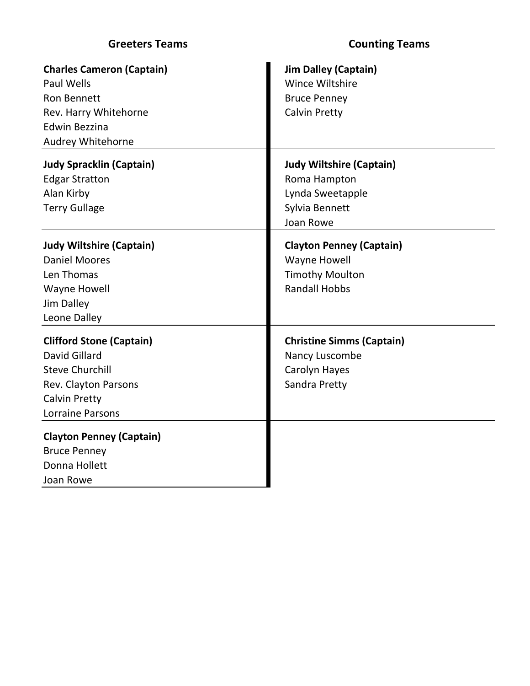| <b>Greeters Teams</b>                                                                                                                             | <b>Counting Teams</b>                                                                                    |
|---------------------------------------------------------------------------------------------------------------------------------------------------|----------------------------------------------------------------------------------------------------------|
| <b>Charles Cameron (Captain)</b><br><b>Paul Wells</b><br><b>Ron Bennett</b><br>Rev. Harry Whitehorne<br><b>Edwin Bezzina</b><br>Audrey Whitehorne | <b>Jim Dalley (Captain)</b><br>Wince Wiltshire<br><b>Bruce Penney</b><br><b>Calvin Pretty</b>            |
| <b>Judy Spracklin (Captain)</b><br><b>Edgar Stratton</b><br>Alan Kirby<br><b>Terry Gullage</b>                                                    | <b>Judy Wiltshire (Captain)</b><br>Roma Hampton<br>Lynda Sweetapple<br>Sylvia Bennett<br>Joan Rowe       |
| <b>Judy Wiltshire (Captain)</b><br><b>Daniel Moores</b><br>Len Thomas<br><b>Wayne Howell</b><br>Jim Dalley<br>Leone Dalley                        | <b>Clayton Penney (Captain)</b><br><b>Wayne Howell</b><br><b>Timothy Moulton</b><br><b>Randall Hobbs</b> |
| <b>Clifford Stone (Captain)</b><br>David Gillard<br><b>Steve Churchill</b><br>Rev. Clayton Parsons<br><b>Calvin Pretty</b><br>Lorraine Parsons    | <b>Christine Simms (Captain)</b><br>Nancy Luscombe<br>Carolyn Hayes<br>Sandra Pretty                     |
| <b>Clayton Penney (Captain)</b><br><b>Bruce Penney</b><br>Donna Hollett<br>Joan Rowe                                                              |                                                                                                          |